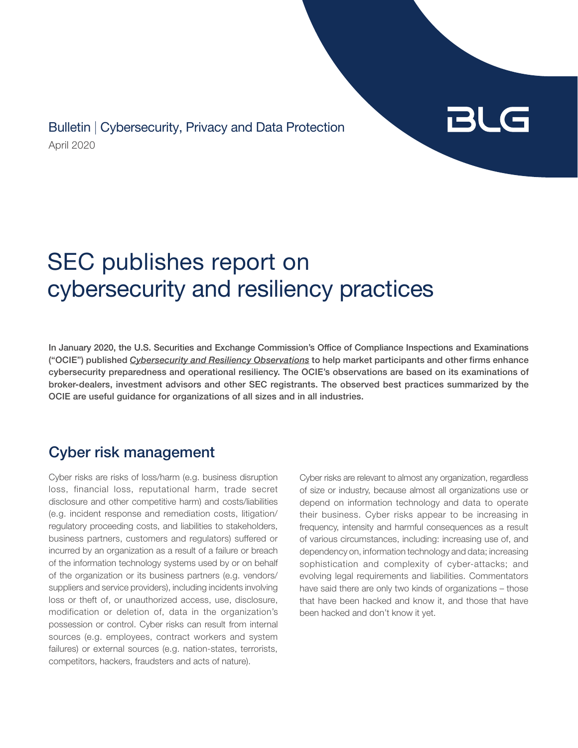April 2020 Bulletin | Cybersecurity, Privacy and Data Protection



# SEC publishes report on cybersecurity and resiliency practices

In January 2020, the U.S. Securities and Exchange Commission's Office of Compliance Inspections and Examinations ("OCIE") published *[Cybersecurity and Resiliency Observations](https://www.sec.gov/files/OCIE%20Cybersecurity%20and%20Resiliency%20Observations.pdf)* to help market participants and other firms enhance cybersecurity preparedness and operational resiliency. The OCIE's observations are based on its examinations of broker-dealers, investment advisors and other SEC registrants. The observed best practices summarized by the OCIE are useful guidance for organizations of all sizes and in all industries.

## Cyber risk management

Cyber risks are risks of loss/harm (e.g. business disruption loss, financial loss, reputational harm, trade secret disclosure and other competitive harm) and costs/liabilities (e.g. incident response and remediation costs, litigation/ regulatory proceeding costs, and liabilities to stakeholders, business partners, customers and regulators) suffered or incurred by an organization as a result of a failure or breach of the information technology systems used by or on behalf of the organization or its business partners (e.g. vendors/ suppliers and service providers), including incidents involving loss or theft of, or unauthorized access, use, disclosure, modification or deletion of, data in the organization's possession or control. Cyber risks can result from internal sources (e.g. employees, contract workers and system failures) or external sources (e.g. nation-states, terrorists, competitors, hackers, fraudsters and acts of nature).

Cyber risks are relevant to almost any organization, regardless of size or industry, because almost all organizations use or depend on information technology and data to operate their business. Cyber risks appear to be increasing in frequency, intensity and harmful consequences as a result of various circumstances, including: increasing use of, and dependency on, information technology and data; increasing sophistication and complexity of cyber-attacks; and evolving legal requirements and liabilities. Commentators have said there are only two kinds of organizations – those that have been hacked and know it, and those that have been hacked and don't know it yet.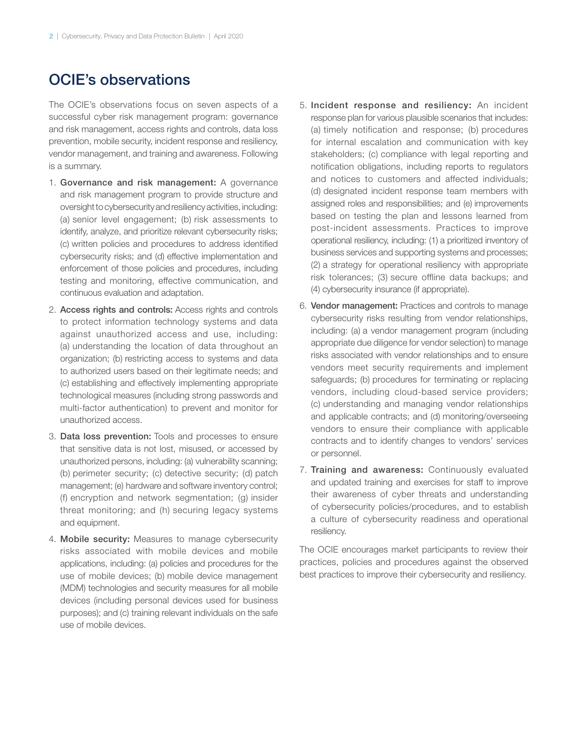### OCIE's observations

The OCIE's observations focus on seven aspects of a successful cyber risk management program: governance and risk management, access rights and controls, data loss prevention, mobile security, incident response and resiliency, vendor management, and training and awareness. Following is a summary.

- 1. Governance and risk management: A governance and risk management program to provide structure and oversight to cybersecurity and resiliency activities, including: (a) senior level engagement; (b) risk assessments to identify, analyze, and prioritize relevant cybersecurity risks; (c) written policies and procedures to address identified cybersecurity risks; and (d) effective implementation and enforcement of those policies and procedures, including testing and monitoring, effective communication, and continuous evaluation and adaptation.
- 2. Access rights and controls: Access rights and controls to protect information technology systems and data against unauthorized access and use, including: (a) understanding the location of data throughout an organization; (b) restricting access to systems and data to authorized users based on their legitimate needs; and (c) establishing and effectively implementing appropriate technological measures (including strong passwords and multi-factor authentication) to prevent and monitor for unauthorized access.
- 3. Data loss prevention: Tools and processes to ensure that sensitive data is not lost, misused, or accessed by unauthorized persons, including: (a) vulnerability scanning; (b) perimeter security; (c) detective security; (d) patch management; (e) hardware and software inventory control; (f) encryption and network segmentation; (g) insider threat monitoring; and (h) securing legacy systems and equipment.
- 4. Mobile security: Measures to manage cybersecurity risks associated with mobile devices and mobile applications, including: (a) policies and procedures for the use of mobile devices; (b) mobile device management (MDM) technologies and security measures for all mobile devices (including personal devices used for business purposes); and (c) training relevant individuals on the safe use of mobile devices.
- 5. Incident response and resiliency: An incident response plan for various plausible scenarios that includes: (a) timely notification and response; (b) procedures for internal escalation and communication with key stakeholders; (c) compliance with legal reporting and notification obligations, including reports to regulators and notices to customers and affected individuals; (d) designated incident response team members with assigned roles and responsibilities; and (e) improvements based on testing the plan and lessons learned from post-incident assessments. Practices to improve operational resiliency, including: (1) a prioritized inventory of business services and supporting systems and processes; (2) a strategy for operational resiliency with appropriate risk tolerances; (3) secure offline data backups; and (4) cybersecurity insurance (if appropriate).
- 6. Vendor management: Practices and controls to manage cybersecurity risks resulting from vendor relationships, including: (a) a vendor management program (including appropriate due diligence for vendor selection) to manage risks associated with vendor relationships and to ensure vendors meet security requirements and implement safeguards; (b) procedures for terminating or replacing vendors, including cloud-based service providers; (c) understanding and managing vendor relationships and applicable contracts; and (d) monitoring/overseeing vendors to ensure their compliance with applicable contracts and to identify changes to vendors' services or personnel.
- 7. Training and awareness: Continuously evaluated and updated training and exercises for staff to improve their awareness of cyber threats and understanding of cybersecurity policies/procedures, and to establish a culture of cybersecurity readiness and operational resiliency.

The OCIE encourages market participants to review their practices, policies and procedures against the observed best practices to improve their cybersecurity and resiliency.